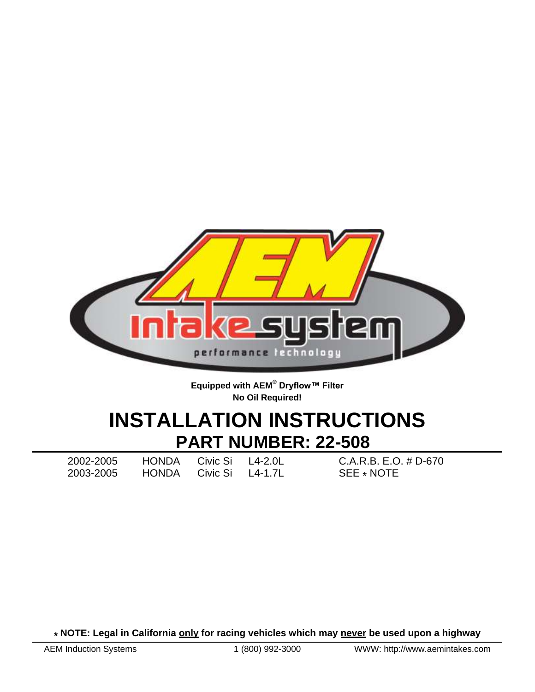

**Equipped with AEM® Dryflow™ Filter No Oil Required!**

# **INSTALLATION INSTRUCTIONS PART NUMBER: 22-508**

2003-2005 HONDA Civic Si L4-1.7L SEE \* NOTE

2002-2005 HONDA Civic Si L4-2.0L C.A.R.B. E.O. # D-670

**\* NOTE: Legal in California only for racing vehicles which may never be used upon a highway**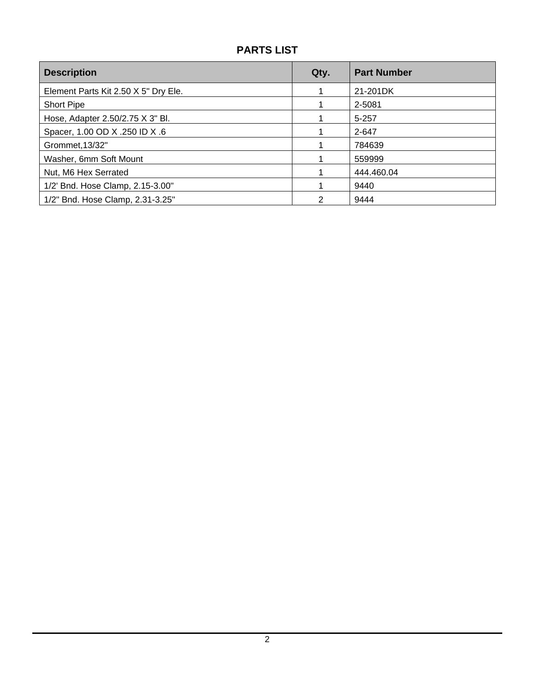## **PARTS LIST**

| <b>Description</b>                   | Qty. | <b>Part Number</b> |
|--------------------------------------|------|--------------------|
| Element Parts Kit 2.50 X 5" Dry Ele. |      | 21-201DK           |
| <b>Short Pipe</b>                    |      | 2-5081             |
| Hose, Adapter 2.50/2.75 X 3" Bl.     |      | $5 - 257$          |
| Spacer, 1.00 OD X .250 ID X .6       |      | 2-647              |
| Grommet, 13/32"                      |      | 784639             |
| Washer, 6mm Soft Mount               |      | 559999             |
| Nut, M6 Hex Serrated                 |      | 444.460.04         |
| 1/2' Bnd. Hose Clamp, 2.15-3.00"     |      | 9440               |
| 1/2" Bnd. Hose Clamp, 2.31-3.25"     | っ    | 9444               |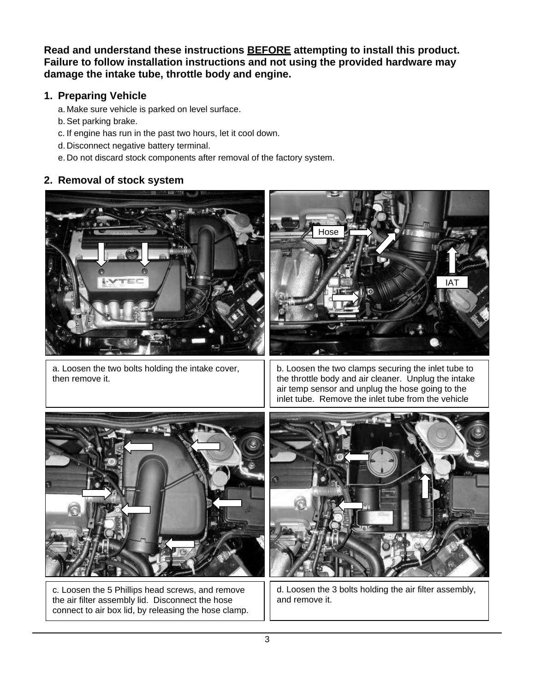**Read and understand these instructions BEFORE attempting to install this product. Failure to follow installation instructions and not using the provided hardware may damage the intake tube, throttle body and engine.**

#### **1. Preparing Vehicle**

a. Make sure vehicle is parked on level surface.

- b.Set parking brake.
- c. If engine has run in the past two hours, let it cool down.
- d. Disconnect negative battery terminal.
- e. Do not discard stock components after removal of the factory system.

#### **2. Removal of stock system**



a. Loosen the two bolts holding the intake cover, then remove it.



b. Loosen the two clamps securing the inlet tube to the throttle body and air cleaner. Unplug the intake air temp sensor and unplug the hose going to the inlet tube. Remove the inlet tube from the vehicle



c. Loosen the 5 Phillips head screws, and remove the air filter assembly lid. Disconnect the hose connect to air box lid, by releasing the hose clamp.



d. Loosen the 3 bolts holding the air filter assembly, and remove it.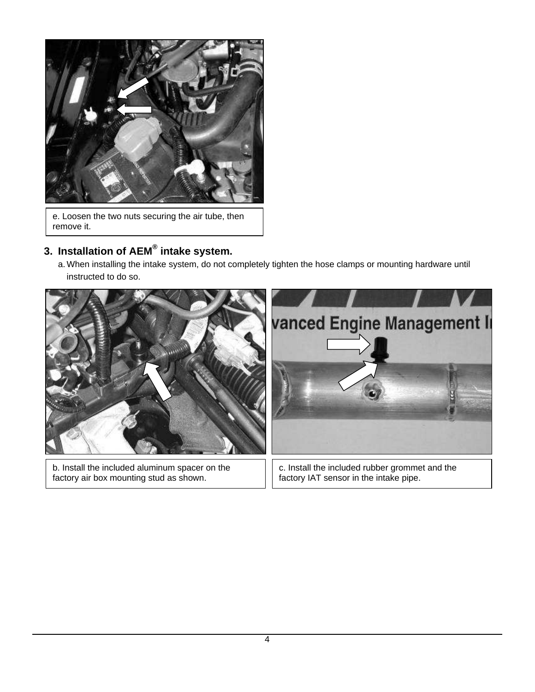

e. Loosen the two nuts securing the air tube, then remove it.

## **3. Installation of AEM® intake system.**

a. When installing the intake system, do not completely tighten the hose clamps or mounting hardware until instructed to do so.



factory air box mounting stud as shown.

c. Install the included rubber grommet and the factory IAT sensor in the intake pipe.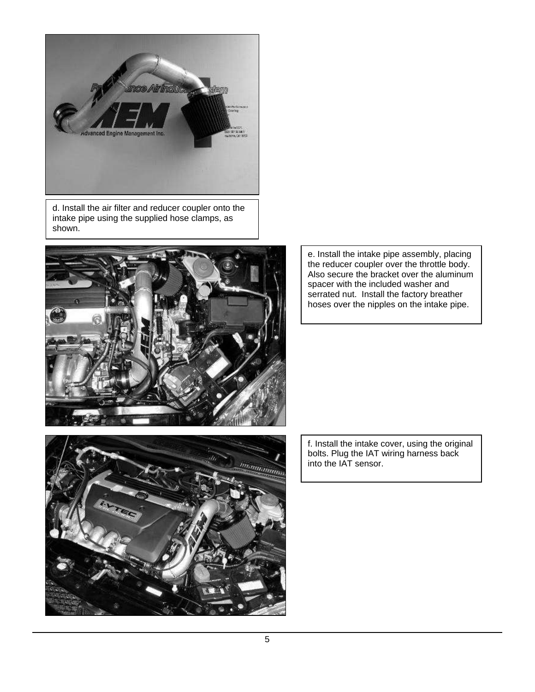

d. Install the air filter and reducer coupler onto the intake pipe using the supplied hose clamps, as shown.



e. Install the intake pipe assembly, placing the reducer coupler over the throttle body. Also secure the bracket over the aluminum spacer with the included washer and serrated nut. Install the factory breather hoses over the nipples on the intake pipe.



f. Install the intake cover, using the original bolts. Plug the IAT wiring harness back into the IAT sensor.